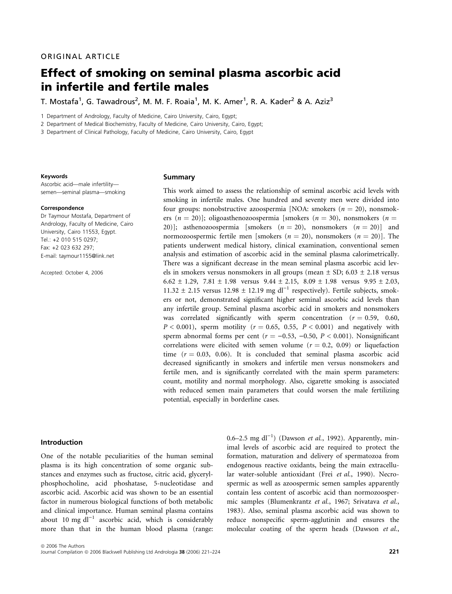# Effect of smoking on seminal plasma ascorbic acid in infertile and fertile males

T. Mostafa<sup>1</sup>, G. Tawadrous<sup>2</sup>, M. M. F. Roaia<sup>1</sup>, M. K. Amer<sup>1</sup>, R. A. Kader<sup>2</sup> & A. Aziz<sup>3</sup>

1 Department of Andrology, Faculty of Medicine, Cairo University, Cairo, Egypt;

2 Department of Medical Biochemistry, Faculty of Medicine, Cairo University, Cairo, Egypt;

3 Department of Clinical Pathology, Faculty of Medicine, Cairo University, Cairo, Egypt

#### Keywords

Ascorbic acid—male infertility semen—seminal plasma—smoking

#### Correspondence

Dr Taymour Mostafa, Department of Andrology, Faculty of Medicine, Cairo University, Cairo 11553, Egypt. Tel.: +2 010 515 0297; Fax: +2 023 632 297; E-mail: taymour1155@link.net

Accepted: October 4, 2006

#### Summary

This work aimed to assess the relationship of seminal ascorbic acid levels with smoking in infertile males. One hundred and seventy men were divided into four groups: nonobstructive azoospermia [NOA: smokers  $(n = 20)$ , nonsmokers (n = 20)]; oligoasthenozoospermia [smokers (n = 30), nonsmokers (n = 20)]; asthenozoospermia [smokers  $(n = 20)$ , nonsmokers  $(n = 20)$ ] and normozoospermic fertile men [smokers ( $n = 20$ ), nonsmokers ( $n = 20$ )]. The patients underwent medical history, clinical examination, conventional semen analysis and estimation of ascorbic acid in the seminal plasma calorimetrically. There was a significant decrease in the mean seminal plasma ascorbic acid levels in smokers versus nonsmokers in all groups (mean  $\pm$  SD; 6.03  $\pm$  2.18 versus 6.62  $\pm$  1.29, 7.81  $\pm$  1.98 versus 9.44  $\pm$  2.15, 8.09  $\pm$  1.98 versus 9.95  $\pm$  2.03, 11.32  $\pm$  2.15 versus 12.98  $\pm$  12.19 mg dl<sup>-1</sup> respectively). Fertile subjects, smokers or not, demonstrated significant higher seminal ascorbic acid levels than any infertile group. Seminal plasma ascorbic acid in smokers and nonsmokers was correlated significantly with sperm concentration ( $r = 0.59$ , 0.60,  $P < 0.001$ ), sperm motility ( $r = 0.65$ , 0.55,  $P < 0.001$ ) and negatively with sperm abnormal forms per cent ( $r = -0.53$ ,  $-0.50$ ,  $P < 0.001$ ). Nonsignificant correlations were elicited with semen volume ( $r = 0.2$ , 0.09) or liquefaction time  $(r = 0.03, 0.06)$ . It is concluded that seminal plasma ascorbic acid decreased significantly in smokers and infertile men versus nonsmokers and fertile men, and is significantly correlated with the main sperm parameters: count, motility and normal morphology. Also, cigarette smoking is associated with reduced semen main parameters that could worsen the male fertilizing potential, especially in borderline cases.

## Introduction

One of the notable peculiarities of the human seminal plasma is its high concentration of some organic substances and enzymes such as fructose, citric acid, glycerylphosphocholine, acid phoshatase, 5-nucleotidase and ascorbic acid. Ascorbic acid was shown to be an essential factor in numerous biological functions of both metabolic and clinical importance. Human seminal plasma contains about 10 mg dl<sup>-1</sup> ascorbic acid, which is considerably more than that in the human blood plasma (range:

imal levels of ascorbic acid are required to protect the formation, maturation and delivery of spermatozoa from endogenous reactive oxidants, being the main extracellular water-soluble antioxidant (Frei et al., 1990). Necrospermic as well as azoospermic semen samples apparently contain less content of ascorbic acid than normozoospermic samples (Blumenkrantz et al., 1967; Srivatava et al., 1983). Also, seminal plasma ascorbic acid was shown to reduce nonspecific sperm-agglutinin and ensures the molecular coating of the sperm heads (Dawson et al.,

0.6–2.5 mg dl<sup>-1</sup>) (Dawson et al., 1992). Apparently, min-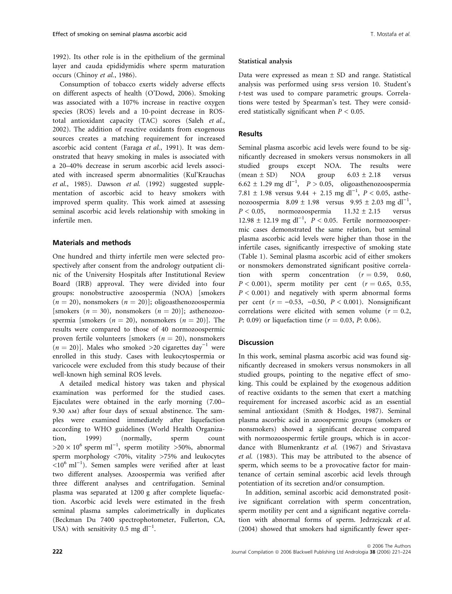1992). Its other role is in the epithelium of the germinal layer and cauda epididymidis where sperm maturation occurs (Chinoy et al., 1986).

Consumption of tobacco exerts widely adverse effects on different aspects of health (O'Dowd, 2006). Smoking was associated with a 107% increase in reactive oxygen species (ROS) levels and a 10-point decrease in ROStotal antioxidant capacity (TAC) scores (Saleh et al., 2002). The addition of reactive oxidants from exogenous sources creates a matching requirement for increased ascorbic acid content (Faraga et al., 1991). It was demonstrated that heavy smoking in males is associated with a 20–40% decrease in serum ascorbic acid levels associated with increased sperm abnormalities (Kul'Krauchas et al., 1985). Dawson et al. (1992) suggested supplementation of ascorbic acid to heavy smokers with improved sperm quality. This work aimed at assessing seminal ascorbic acid levels relationship with smoking in infertile men.

## Materials and methods

One hundred and thirty infertile men were selected prospectively after consent from the andrology outpatient clinic of the University Hospitals after Institutional Review Board (IRB) approval. They were divided into four groups: nonobstructive azoospermia (NOA) [smokers  $(n = 20)$ , nonsmokers  $(n = 20)$ ; oligoasthenozoospermia [smokers ( $n = 30$ ), nonsmokers ( $n = 20$ ]; asthenozoospermia [smokers ( $n = 20$ ), nonsmokers ( $n = 20$ )]. The results were compared to those of 40 normozoospermic proven fertile volunteers [smokers  $(n = 20)$ , nonsmokers  $(n = 20)$ ]. Males who smoked >20 cigarettes day<sup>-1</sup> were enrolled in this study. Cases with leukocytospermia or varicocele were excluded from this study because of their well-known high seminal ROS levels.

A detailed medical history was taken and physical examination was performed for the studied cases. Ejaculates were obtained in the early morning (7.00– 9.30 am) after four days of sexual abstinence. The samples were examined immediately after liquefaction according to WHO guidelines (World Health Organization, 1999) (normally, sperm count  $>20 \times 10^6$  sperm ml<sup>-1</sup>, sperm motility >50%, abnormal sperm morphology <70%, vitality >75% and leukocytes  $\langle 10^6 \text{ ml}^{-1} \rangle$ . Semen samples were verified after at least two different analyses. Azoospermia was verified after three different analyses and centrifugation. Seminal plasma was separated at 1200 g after complete liquefaction. Ascorbic acid levels were estimated in the fresh seminal plasma samples calorimetrically in duplicates (Beckman Du 7400 spectrophotometer, Fullerton, CA, USA) with sensitivity 0.5 mg  $dl^{-1}$ .

## Statistical analysis

Data were expressed as mean  $\pm$  SD and range. Statistical analysis was performed using spss version 10. Student's t-test was used to compare parametric groups. Correlations were tested by Spearman's test. They were considered statistically significant when  $P < 0.05$ .

## **Results**

Seminal plasma ascorbic acid levels were found to be significantly decreased in smokers versus nonsmokers in all studied groups except NOA. The results were<br>(mean  $\pm$  SD) NOA group  $6.03 \pm 2.18$  versus  $(mean \pm SD)$  NOA group  $6.03 \pm 2.18$  versus  $6.62 \pm 1.29$  mg dl<sup>-1</sup>,  $P > 0.05$ , oligoasthenozoospermia 7.81  $\pm$  1.98 versus 9.44 + 2.15 mg dl<sup>-1</sup>,  $P$  < 0.05, asthenozoospermia  $8.09 \pm 1.98$  versus  $9.95 \pm 2.03$  mg dl<sup>-1</sup>,  $P < 0.05$ , normozoospermia 11.32 ± 2.15 versus 12.98  $\pm$  12.19 mg dl<sup>-1</sup>,  $P < 0.05$ . Fertile normozoospermic cases demonstrated the same relation, but seminal plasma ascorbic acid levels were higher than those in the infertile cases, significantly irrespective of smoking state (Table 1). Seminal plasma ascorbic acid of either smokers or nonsmokers demonstrated significant positive correlation with sperm concentration  $(r = 0.59, 0.60,$  $P < 0.001$ ), sperm motility per cent ( $r = 0.65$ , 0.55,  $P < 0.001$ ) and negatively with sperm abnormal forms per cent ( $r = -0.53$ ,  $-0.50$ ,  $P < 0.001$ ). Nonsignificant correlations were elicited with semen volume ( $r = 0.2$ , P: 0.09) or liquefaction time ( $r = 0.03$ , P: 0.06).

# Discussion

In this work, seminal plasma ascorbic acid was found significantly decreased in smokers versus nonsmokers in all studied groups, pointing to the negative effect of smoking. This could be explained by the exogenous addition of reactive oxidants to the semen that exert a matching requirement for increased ascorbic acid as an essential seminal antioxidant (Smith & Hodges, 1987). Seminal plasma ascorbic acid in azoospermic groups (smokers or nonsmokers) showed a significant decrease compared with normozoospermic fertile groups, which is in accordance with Blumenkrantz et al. (1967) and Srivastava et al. (1983). This may be attributed to the absence of sperm, which seems to be a provocative factor for maintenance of certain seminal ascorbic acid levels through potentiation of its secretion and/or consumption.

In addition, seminal ascorbic acid demonstrated positive significant correlation with sperm concentration, sperm motility per cent and a significant negative correlation with abnormal forms of sperm. Jedrzejczak et al. (2004) showed that smokers had significantly fewer sper-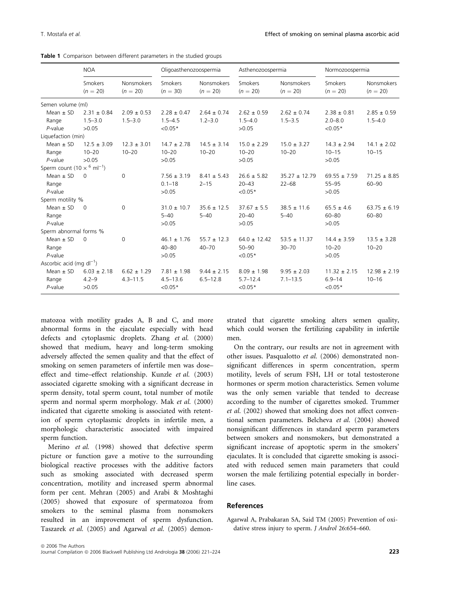Table 1 Comparison between different parameters in the studied groups

|                                             | <b>NOA</b>            |                                 | Oligoasthenozoospermia |                                 | Asthenozoospermia     |                                 | Normozoospermia       |                                 |
|---------------------------------------------|-----------------------|---------------------------------|------------------------|---------------------------------|-----------------------|---------------------------------|-----------------------|---------------------------------|
|                                             | Smokers<br>$(n = 20)$ | <b>Nonsmokers</b><br>$(n = 20)$ | Smokers<br>$(n = 30)$  | <b>Nonsmokers</b><br>$(n = 20)$ | Smokers<br>$(n = 20)$ | <b>Nonsmokers</b><br>$(n = 20)$ | Smokers<br>$(n = 20)$ | <b>Nonsmokers</b><br>$(n = 20)$ |
| Semen volume (ml)                           |                       |                                 |                        |                                 |                       |                                 |                       |                                 |
| Mean $\pm$ SD                               | $2.31 \pm 0.84$       | $2.09 \pm 0.53$                 | $2.28 \pm 0.47$        | $2.64 \pm 0.74$                 | $2.62 \pm 0.59$       | $2.62 \pm 0.74$                 | $2.38 \pm 0.81$       | $2.85 \pm 0.59$                 |
| Range                                       | $1.5 - 3.0$           | $1.5 - 3.0$                     | $1.5 - 4.5$            | $1.2 - 3.0$                     | $1.5 - 4.0$           | $1.5 - 3.5$                     | $2.0 - 8.0$           | $1.5 - 4.0$                     |
| $P$ -value                                  | >0.05                 |                                 | $< 0.05*$              |                                 | >0.05                 |                                 | ${<}0.05*$            |                                 |
| Liquefaction (min)                          |                       |                                 |                        |                                 |                       |                                 |                       |                                 |
| Mean $\pm$ SD                               | $12.5 \pm 3.09$       | $12.3 \pm 3.01$                 | $14.7 \pm 2.78$        | $14.5 \pm 3.14$                 | $15.0 \pm 2.29$       | $15.0 \pm 3.27$                 | $14.3 \pm 2.94$       | $14.1 \pm 2.02$                 |
| Range                                       | $10 - 20$             | $10 - 20$                       | $10 - 20$              | $10 - 20$                       | $10 - 20$             | $10 - 20$                       | $10 - 15$             | $10 - 15$                       |
| $P$ -value                                  | >0.05                 |                                 | >0.05                  |                                 | >0.05                 |                                 | >0.05                 |                                 |
| Sperm count $(10 \times^6 \text{ ml}^{-1})$ |                       |                                 |                        |                                 |                       |                                 |                       |                                 |
| Mean $\pm$ SD                               | $\Omega$              | $\Omega$                        | $7.56 \pm 3.19$        | $8.41 \pm 5.43$                 | $26.6 \pm 5.82$       | $35.27 \pm 12.79$               | $69.55 \pm 7.59$      | $71.25 \pm 8.85$                |
| Range                                       |                       |                                 | $0.1 - 18$             | $2 - 15$                        | $20 - 43$             | $22 - 68$                       | $55 - 95$             | $60 - 90$                       |
| $P$ -value                                  |                       |                                 | >0.05                  |                                 | $< 0.05*$             |                                 | >0.05                 |                                 |
| Sperm motility %                            |                       |                                 |                        |                                 |                       |                                 |                       |                                 |
| Mean $\pm$ SD                               | $\Omega$              | 0                               | $31.0 \pm 10.7$        | $35.6 \pm 12.5$                 | $37.67 \pm 5.5$       | $38.5 \pm 11.6$                 | $65.5 \pm 4.6$        | $63.75 \pm 6.19$                |
| Range                                       |                       |                                 | $5 - 40$               | $5 - 40$                        | $20 - 40$             | $5 - 40$                        | $60 - 80$             | $60 - 80$                       |
| P-value                                     |                       |                                 | >0.05                  |                                 | >0.05                 |                                 | >0.05                 |                                 |
| Sperm abnormal forms %                      |                       |                                 |                        |                                 |                       |                                 |                       |                                 |
| Mean $\pm$ SD                               | $\Omega$              | $\Omega$                        | $46.1 \pm 1.76$        | $55.7 \pm 12.3$                 | $64.0 \pm 12.42$      | $53.5 \pm 11.37$                | $14.4 \pm 3.59$       | $13.5 \pm 3.28$                 |
| Range                                       |                       |                                 | $40 - 80$              | $40 - 70$                       | $50 - 90$             | $30 - 70$                       | $10 - 20$             | $10 - 20$                       |
| $P$ -value                                  |                       |                                 | >0.05                  |                                 | $< 0.05*$             |                                 | >0.05                 |                                 |
| Ascorbic acid (mg $dl^{-1}$ )               |                       |                                 |                        |                                 |                       |                                 |                       |                                 |
| Mean $\pm$ SD                               | $6.03 \pm 2.18$       | $6.62 \pm 1.29$                 | $7.81 \pm 1.98$        | $9.44 \pm 2.15$                 | $8.09 \pm 1.98$       | $9.95 \pm 2.03$                 | $11.32 \pm 2.15$      | $12.98 \pm 2.19$                |
| Range                                       | $4.2 - 9$             | $4.3 - 11.5$                    | $4.5 - 13.6$           | $6.5 - 12.8$                    | $5.7 - 12.4$          | $7.1 - 13.5$                    | $6.9 - 14$            | $10 - 16$                       |
| P-value                                     | >0.05                 |                                 | $< 0.05*$              |                                 | $< 0.05*$             |                                 | $< 0.05*$             |                                 |

matozoa with motility grades A, B and C, and more abnormal forms in the ejaculate especially with head defects and cytoplasmic droplets. Zhang et al. (2000) showed that medium, heavy and long-term smoking adversely affected the semen quality and that the effect of smoking on semen parameters of infertile men was dose– effect and time–effect relationship. Kunzle et al. (2003) associated cigarette smoking with a significant decrease in sperm density, total sperm count, total number of motile sperm and normal sperm morphology. Mak et al. (2000) indicated that cigarette smoking is associated with retention of sperm cytoplasmic droplets in infertile men, a morphologic characteristic associated with impaired sperm function.

Merino et al. (1998) showed that defective sperm picture or function gave a motive to the surrounding biological reactive processes with the additive factors such as smoking associated with decreased sperm concentration, motility and increased sperm abnormal form per cent. Mehran (2005) and Arabi & Moshtaghi (2005) showed that exposure of spermatozoa from smokers to the seminal plasma from nonsmokers resulted in an improvement of sperm dysfunction. Taszarek et al. (2005) and Agarwal et al. (2005) demonstrated that cigarette smoking alters semen quality, which could worsen the fertilizing capability in infertile men.

On the contrary, our results are not in agreement with other issues. Pasqualotto et al. (2006) demonstrated nonsignificant differences in sperm concentration, sperm motility, levels of serum FSH, LH or total testosterone hormones or sperm motion characteristics. Semen volume was the only semen variable that tended to decrease according to the number of cigarettes smoked. Trummer et al. (2002) showed that smoking does not affect conventional semen parameters. Belcheva et al. (2004) showed nonsignificant differences in standard sperm parameters between smokers and nonsmokers, but demonstrated a significant increase of apoptotic sperm in the smokers' ejaculates. It is concluded that cigarette smoking is associated with reduced semen main parameters that could worsen the male fertilizing potential especially in borderline cases.

## References

Agarwal A, Prabakaran SA, Said TM (2005) Prevention of oxidative stress injury to sperm. J Androl 26:654–660.